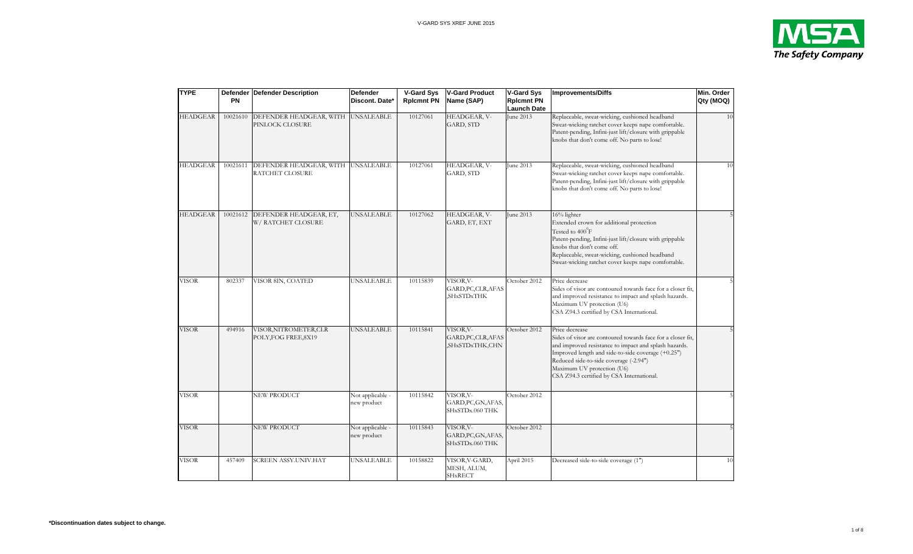

| <b>TYPE</b>     | PN       | <b>Defender Defender Description</b>                  | <b>Defender</b><br>Discont. Date* | V-Gard Sys<br><b>Rpicmnt PN</b> | <b>V-Gard Product</b><br>Name (SAP)                   | <b>V-Gard Sys</b><br><b>Rplcmnt PN</b><br>Launch Date | <b>Improvements/Diffs</b>                                                                                                                                                                                                                                                                                         | Min. Order<br>Qty (MOQ) |
|-----------------|----------|-------------------------------------------------------|-----------------------------------|---------------------------------|-------------------------------------------------------|-------------------------------------------------------|-------------------------------------------------------------------------------------------------------------------------------------------------------------------------------------------------------------------------------------------------------------------------------------------------------------------|-------------------------|
| <b>HEADGEAR</b> | 10021610 | DEFENDER HEADGEAR, WITH UNSALEABLE<br>PINLOCK CLOSURE |                                   | 10127061                        | HEADGEAR, V-<br>GARD, STD                             | June 2013                                             | Replaceable, sweat-wicking, cushioned headband<br>Sweat-wicking ratchet cover keeps nape comfortable.<br>Patent-pending, Infini-just lift/closure with grippable<br>knobs that don't come off. No parts to lose!                                                                                                  | 10                      |
| HEADGEAR        | 10021611 | DEFENDER HEADGEAR, WITH UNSALEABLE<br>RATCHET CLOSURE |                                   | 10127061                        | HEADGEAR, V-<br>GARD, STD                             | June 2013                                             | Replaceable, sweat-wicking, cushioned headband<br>Sweat-wicking ratchet cover keeps nape comfortable.<br>Patent-pending, Infini-just lift/closure with grippable<br>knobs that don't come off. No parts to lose!                                                                                                  | 10                      |
| <b>HEADGEAR</b> | 10021612 | DEFENDER HEADGEAR, ET,<br>W/ RATCHET CLOSURE          | <b>UNSALEABLE</b>                 | 10127062                        | HEADGEAR, V-<br>GARD, ET, EXT                         | June 2013                                             | 16% lighter<br>Extended crown for additional protection<br>Tested to 400 <sup>0</sup> F<br>Patent-pending, Infini-just lift/closure with grippable<br>knobs that don't come off.<br>Replaceable, sweat-wicking, cushioned headband<br>Sweat-wicking ratchet cover keeps nape comfortable.                         |                         |
| <b>VISOR</b>    | 802337   | VISOR 8IN, COATED                                     | UNSALEABLE                        | 10115839                        | VISOR, V-<br>GARD, PC, CLR, AFAS<br><b>SHxSTDxTHK</b> | October 2012                                          | Price decrease<br>Sides of visor are contoured towards face for a closer fit,<br>and improved resistance to impact and splash hazards.<br>Maximum UV protection (U6)<br>CSA Z94.3 certified by CSA International.                                                                                                 |                         |
| <b>VISOR</b>    | 494916   | VISOR, NITROMETER, CLR<br>POLY, FOG FREE, 8X19        | <b>UNSALEABLE</b>                 | 10115841                        | VISOR, V-<br>GARD, PC, CLR, AFAS<br>SHxSTDxTHK,CHN,   | October 2012                                          | Price decrease<br>Sides of visor are contoured towards face for a closer fit,<br>and improved resistance to impact and splash hazards.<br>Improved length and side-to-side coverage (+0.25")<br>Reduced side-to-side coverage (-2.94")<br>Maximum UV protection (U6)<br>CSA Z94.3 certified by CSA International. |                         |
| <b>VISOR</b>    |          | NEW PRODUCT                                           | Not applicable -<br>new product   | 10115842                        | VISOR, V-<br>GARD, PC, GN, AFAS,<br>SHxSTDx.060 THK   | October 2012                                          |                                                                                                                                                                                                                                                                                                                   |                         |
| <b>VISOR</b>    |          | NEW PRODUCT                                           | Not applicable -<br>new product   | 10115843                        | VISOR, V-<br>GARD, PC, GN, AFAS,<br>SHxSTDx.060 THK   | October 2012                                          |                                                                                                                                                                                                                                                                                                                   |                         |
| VISOR           | 457409   | SCREEN ASSY.UNIV.HAT                                  | UNSALEABLE                        | 10158822                        | VISOR,V-GARD,<br>MESH, ALUM,<br>SHxRECT               | April 2015                                            | Decreased side-to-side coverage (1")                                                                                                                                                                                                                                                                              | 10                      |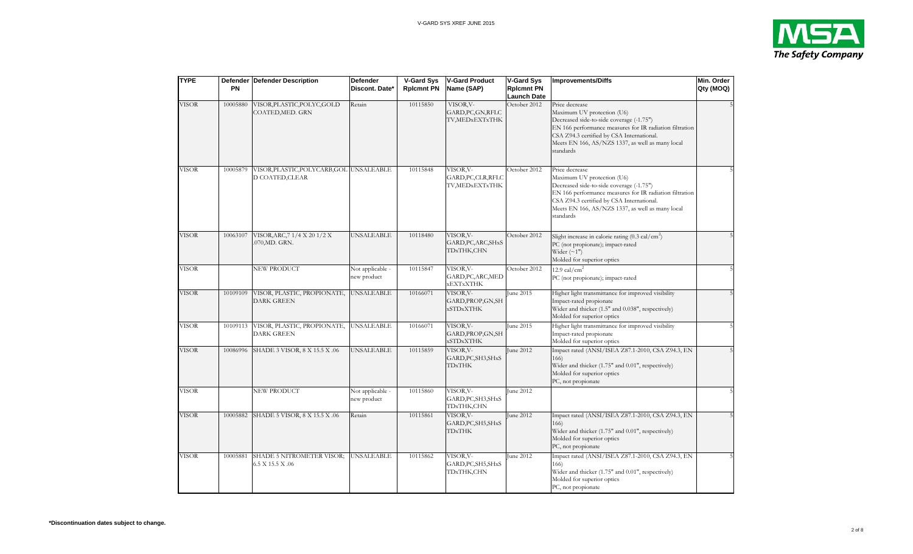

| <b>TYPE</b>  |          | Defender Defender Description                               | <b>Defender</b>                 | <b>V-Gard Sys</b> | <b>V-Gard Product</b>                               | <b>V-Gard Sys</b>                       | <b>Improvements/Diffs</b>                                                                                                                                                                                                                                         | Min. Order |
|--------------|----------|-------------------------------------------------------------|---------------------------------|-------------------|-----------------------------------------------------|-----------------------------------------|-------------------------------------------------------------------------------------------------------------------------------------------------------------------------------------------------------------------------------------------------------------------|------------|
|              | PN       |                                                             | Discont. Date*                  | <b>Rpicmnt PN</b> | Name (SAP)                                          | <b>Rplcmnt PN</b><br><b>Launch Date</b> |                                                                                                                                                                                                                                                                   | Qty (MOQ)  |
| <b>VISOR</b> | 10005880 | VISOR, PLASTIC, POLYC, GOLD<br>COATED, MED. GRN             | Retain                          | 10115850          | VISOR, V-<br>GARD, PC, GN, RFLC<br>TV,MEDxEXTxTHK   | October 2012                            | Price decrease<br>Maximum UV protection (U6)<br>Decreased side-to-side coverage (-1.75")<br>EN 166 performance measures for IR radiation filtration<br>CSA Z94.3 certified by CSA International.<br>Meets EN 166, AS/NZS 1337, as well as many local<br>standards |            |
| <b>VISOR</b> | 10005879 | VISOR, PLASTIC, POLYCARB, GOL UNSALEABLE<br>D COATED, CLEAR |                                 | 10115848          | VISOR, V-<br>GARD, PC, CLR, RFLC<br>TV,MEDxEXTxTHK  | October 2012                            | Price decrease<br>Maximum UV protection (U6)<br>Decreased side-to-side coverage (-1.75")<br>EN 166 performance measures for IR radiation filtration<br>CSA Z94.3 certified by CSA International.<br>Meets EN 166, AS/NZS 1337, as well as many local<br>standards |            |
| <b>VISOR</b> | 10063107 | VISOR, ARC, 71/4 X 201/2 X<br>.070, MD. GRN.                | <b>UNSALEABLE</b>               | 10118480          | VISOR, V-<br>GARD, PC, ARC, SHxS<br>TDxTHK,CHN      | October 2012                            | Slight increase in calorie rating $(0.3 \text{ cal/cm}^2)$<br>PC (not propionate); impact-rated<br>Wider $(\sim 1")$<br>Molded for superior optics                                                                                                                |            |
| VISOR        |          | NEW PRODUCT                                                 | Not applicable -<br>new product | 10115847          | VISOR, V-<br>GARD, PC, ARC, MED<br><b>xEXTxXTHK</b> | October 2012                            | 12.9 cal/ $\text{cm}^2$<br>PC (not propionate); impact-rated                                                                                                                                                                                                      |            |
| VISOR        | 10109109 | VISOR, PLASTIC, PROPIONATE,<br>DARK GREEN                   | <b>UNSALEABLE</b>               | 10166071          | VISOR, V-<br>GARD, PROP, GN, SH<br><b>xSTDxXTHK</b> | June 2015                               | Higher light transmittance for improved visibility<br>Impact-rated propionate<br>Wider and thicker (1.5" and 0.038", respectively)<br>Molded for superior optics                                                                                                  |            |
| <b>VISOR</b> | 10109113 | VISOR, PLASTIC, PROPIONATE, UNSALEABLE<br>DARK GREEN        |                                 | 10166071          | VISOR, V-<br>GARD, PROP, GN, SH<br><b>xSTDxXTHK</b> | June 2015                               | Higher light transmittance for improved visibility<br>Impact-rated propionate<br>Molded for superior optics                                                                                                                                                       |            |
| <b>VISOR</b> | 10086996 | SHADE 3 VISOR, 8 X 15.5 X .06                               | <b>UNSALEABLE</b>               | 10115859          | VISOR, V-<br>GARD, PC, SH3, SHxS<br>TDxTHK          | June 2012                               | Impact rated (ANSI/ISEA Z87.1-2010, CSA Z94.3, EN<br>166)<br>Wider and thicker (1.75" and 0.01", respectively)<br>Molded for superior optics<br>PC, not propionate                                                                                                |            |
| VISOR        |          | NEW PRODUCT                                                 | Not applicable -<br>new product | 10115860          | VISOR, V-<br>GARD, PC, SH3, SHxS<br>TDxTHK,CHN      | <b>Iune 2012</b>                        |                                                                                                                                                                                                                                                                   |            |
| <b>VISOR</b> | 10005882 | SHADE 5 VISOR, 8 X 15.5 X .06                               | Retain                          | 10115861          | VISOR, V-<br>GARD, PC, SH5, SHxS<br>TDxTHK          | June 2012                               | Impact rated (ANSI/ISEA Z87.1-2010, CSA Z94.3, EN<br>166)<br>Wider and thicker (1.75" and 0.01", respectively)<br>Molded for superior optics<br>PC, not propionate                                                                                                |            |
| <b>VISOR</b> | 10005881 | SHADE 5 NITROMETER VISOR;<br>6.5 X 15.5 X .06               | <b>UNSALEABLE</b>               | 10115862          | VISOR, V-<br>GARD, PC, SH5, SHxS<br>TDxTHK,CHN      | June 2012                               | Impact rated (ANSI/ISEA Z87.1-2010, CSA Z94.3, EN<br>166)<br>Wider and thicker (1.75" and 0.01", respectively)<br>Molded for superior optics<br>PC, not propionate                                                                                                |            |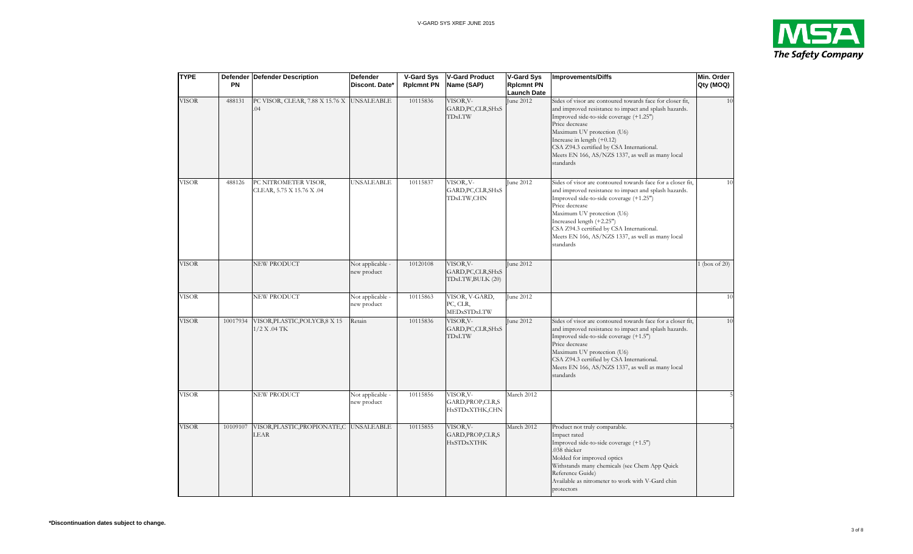

| <b>TYPE</b>  | <b>PN</b> | Defender Defender Description                     | Defender<br>Discont. Date*      | <b>V-Gard Sys</b><br><b>Rpicmnt PN</b> | <b>V-Gard Product</b><br>Name (SAP)                        | <b>V-Gard Sys</b><br><b>Rpicmnt PN</b><br><b>Launch Date</b> | <b>Improvements/Diffs</b>                                                                                                                                                                                                                                                                                                                                   | Min. Order<br>Qty (MOQ) |
|--------------|-----------|---------------------------------------------------|---------------------------------|----------------------------------------|------------------------------------------------------------|--------------------------------------------------------------|-------------------------------------------------------------------------------------------------------------------------------------------------------------------------------------------------------------------------------------------------------------------------------------------------------------------------------------------------------------|-------------------------|
| <b>VISOR</b> | 488131    | PC VISOR, CLEAR, 7.88 X 15.76 X<br>.04            | <b>UNSALEABLE</b>               | 10115836                               | VISOR, V-<br>GARD, PC, CLR, SHxS<br>TDxLTW                 | June 2012                                                    | Sides of visor are contoured towards face for closer fit,<br>and improved resistance to impact and splash hazards.<br>Improved side-to-side coverage (+1.25")<br>Price decrease<br>Maximum UV protection (U6)<br>Increase in length $(+0.12)$<br>CSA Z94.3 certified by CSA International.<br>Meets EN 166, AS/NZS 1337, as well as many local<br>standards | 10                      |
| <b>VISOR</b> | 488126    | PC NITROMETER VISOR,<br>CLEAR, 5.75 X 15.76 X .04 | <b>UNSALEABLE</b>               | 10115837                               | VISOR <sub>y</sub> V-<br>GARD, PC, CLR, SHxS<br>TDxLTW,CHN | June 2012                                                    | Sides of visor are contoured towards face for a closer fit,<br>and improved resistance to impact and splash hazards.<br>Improved side-to-side coverage (+1.25")<br>Price decrease<br>Maximum UV protection (U6)<br>Increased length (+2.25")<br>CSA Z94.3 certified by CSA International.<br>Meets EN 166, AS/NZS 1337, as well as many local<br>standards  | 10                      |
| <b>VISOR</b> |           | NEW PRODUCT                                       | Not applicable -<br>new product | 10120108                               | VISOR,V-<br>GARD, PC, CLR, SHxS<br>TDxLTW,BULK (20)        | June 2012                                                    |                                                                                                                                                                                                                                                                                                                                                             | 1 (box of $20$ )        |
| <b>VISOR</b> |           | NEW PRODUCT                                       | Not applicable -<br>new product | 10115863                               | VISOR, V-GARD,<br>PC, CLR,<br>MEDxSTDxLTW                  | June 2012                                                    |                                                                                                                                                                                                                                                                                                                                                             | 10                      |
| <b>VISOR</b> | 10017934  | VISOR, PLASTIC, POLYCB, 8 X 15<br>1/2 X .04 TK    | Retain                          | 10115836                               | VISOR, V-<br>GARD, PC, CLR, SHxS<br>TDxLTW                 | June 2012                                                    | Sides of visor are contoured towards face for a closer fit,<br>and improved resistance to impact and splash hazards.<br>Improved side-to-side coverage (+1.5")<br>Price decrease<br>Maximum UV protection (U6)<br>CSA Z94.3 certified by CSA International.<br>Meets EN 166, AS/NZS 1337, as well as many local<br>standards                                | 10                      |
| <b>VISOR</b> |           | NEW PRODUCT                                       | Not applicable -<br>new product | 10115856                               | VISOR, V-<br>GARD, PROP, CLR, S<br>HxSTDxXTHK,CHN          | March 2012                                                   |                                                                                                                                                                                                                                                                                                                                                             |                         |
| <b>VISOR</b> | 10109107  | VISOR, PLASTIC, PROPIONATE, C UNSALEABLE<br>LEAR  |                                 | 10115855                               | VISOR, V-<br>GARD, PROP, CLR, S<br><b>HxSTDxXTHK</b>       | March 2012                                                   | Product not truly comparable.<br>Impact rated<br>Improved side-to-side coverage (+1.5")<br>.038 thicker<br>Molded for improved optics<br>Withstands many chemicals (see Chem App Quick<br>Reference Guide)<br>Available as nitrometer to work with V-Gard chin<br>protectors                                                                                |                         |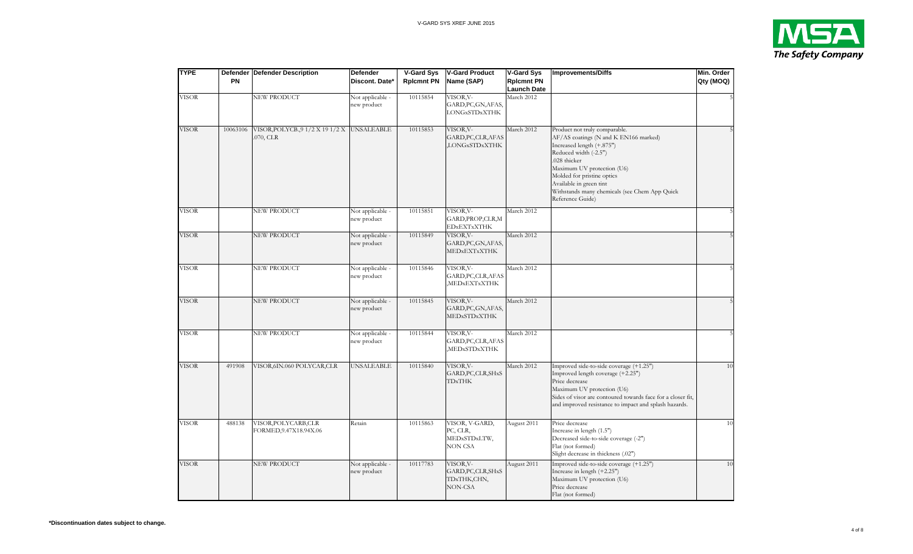

| <b>TYPE</b>  | <b>PN</b> | Defender Defender Description                          | <b>Defender</b><br>Discont. Date* | <b>V-Gard Sys</b><br><b>Rpicmnt PN</b> | <b>V-Gard Product</b><br>Name (SAP)                        | <b>V-Gard Sys</b><br><b>Rplcmnt PN</b><br><b>Launch Date</b> | <b>Improvements/Diffs</b>                                                                                                                                                                                                                                                                                | Min. Order<br>Qty (MOQ) |
|--------------|-----------|--------------------------------------------------------|-----------------------------------|----------------------------------------|------------------------------------------------------------|--------------------------------------------------------------|----------------------------------------------------------------------------------------------------------------------------------------------------------------------------------------------------------------------------------------------------------------------------------------------------------|-------------------------|
| <b>VISOR</b> |           | NEW PRODUCT                                            | Not applicable -<br>new product   | 10115854                               | VISOR, V-<br>GARD, PC, GN, AFAS,<br><b>LONGxSTDxXTHK</b>   | March 2012                                                   |                                                                                                                                                                                                                                                                                                          |                         |
| <b>VISOR</b> | 10063106  | VISOR, POLYCB., 91/2 X 191/2 X UNSALEABLE<br>.070, CLR |                                   | 10115853                               | VISOR, V-<br>GARD, PC, CLR, AFAS<br><b>LONGxSTDxXTHK</b>   | March 2012                                                   | Product not truly comparable.<br>AF/AS coatings (N and K EN166 marked)<br>Increased length (+.875")<br>Reduced width (-2.5")<br>.028 thicker<br>Maximum UV protection (U6)<br>Molded for pristine optics<br>Available in green tint<br>Withstands many chemicals (see Chem App Quick<br>Reference Guide) |                         |
| <b>VISOR</b> |           | NEW PRODUCT                                            | Not applicable -<br>new product   | 10115851                               | VISOR, V-<br>GARD, PROP, CLR, M<br><b>EDxEXTxXTHK</b>      | March 2012                                                   |                                                                                                                                                                                                                                                                                                          |                         |
| <b>VISOR</b> |           | NEW PRODUCT                                            | Not applicable -<br>new product   | 10115849                               | VISOR, V-<br>GARD, PC, GN, AFAS,<br>MEDXEXTXXTHK           | March 2012                                                   |                                                                                                                                                                                                                                                                                                          |                         |
| <b>VISOR</b> |           | NEW PRODUCT                                            | Not applicable -<br>new product   | 10115846                               | VISOR, V-<br>GARD, PC, CLR, AFAS<br><b>MEDXEXTXXTHK</b>    | March 2012                                                   |                                                                                                                                                                                                                                                                                                          |                         |
| <b>VISOR</b> |           | NEW PRODUCT                                            | Not applicable -<br>new product   | 10115845                               | VISOR, V-<br>GARD, PC, GN, AFAS,<br><b>MEDxSTDxXTHK</b>    | March 2012                                                   |                                                                                                                                                                                                                                                                                                          |                         |
| <b>VISOR</b> |           | NEW PRODUCT                                            | Not applicable -<br>new product   | 10115844                               | VISOR, V-<br>GARD, PC, CLR, AFAS<br>MEDxSTDxXTHK           | March 2012                                                   |                                                                                                                                                                                                                                                                                                          |                         |
| <b>VISOR</b> | 491908    | VISOR, 6IN.060 POLYCAR, CLR                            | UNSALEABLE                        | 10115840                               | VISOR, V-<br>GARD, PC, CLR, SHxS<br><b>TDxTHK</b>          | March 2012                                                   | Improved side-to-side coverage (+1.25")<br>Improved length coverage (+2.25")<br>Price decrease<br>Maximum UV protection (U6)<br>Sides of visor are contoured towards face for a closer fit,<br>and improved resistance to impact and splash hazards.                                                     | 1(                      |
| VISOR        | 488138    | VISOR, POLYCARB, CLR<br>FORMED, 9.47X18.94X.06         | Retain                            | 10115863                               | VISOR, V-GARD,<br>PC, CLR,<br>MEDxSTDxLTW,<br>NON CSA      | August 2011                                                  | Price decrease<br>Increase in length (1.5")<br>Decreased side-to-side coverage (-2")<br>Flat (not formed)<br>Slight decrease in thickness (.02")                                                                                                                                                         | 10                      |
| <b>VISOR</b> |           | NEW PRODUCT                                            | Not applicable -<br>new product   | 10117783                               | VISOR, V-<br>GARD, PC, CLR, SHxS<br>TDxTHK,CHN,<br>NON-CSA | August 2011                                                  | Improved side-to-side coverage (+1.25")<br>Increase in length (+2.25")<br>Maximum UV protection (U6)<br>Price decrease<br>Flat (not formed)                                                                                                                                                              | 10                      |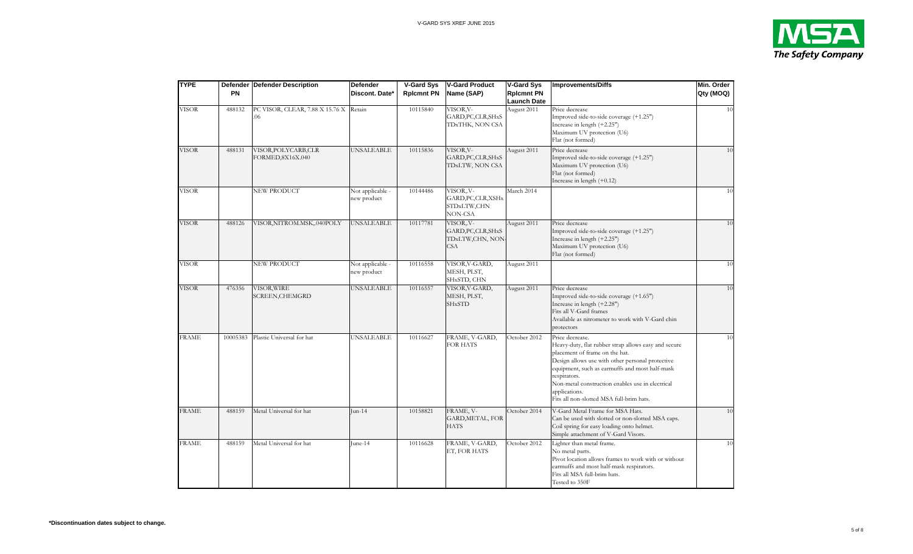

| <b>TYPE</b>  | <b>PN</b> | Defender   Defender Description               | Defender<br>Discont. Date*      | V-Gard Sys<br><b>Rpicmnt PN</b> | <b>V-Gard Product</b><br>Name (SAP)                               | <b>V-Gard Sys</b><br><b>Rplcmnt PN</b><br>Launch Date | <b>Improvements/Diffs</b>                                                                                                                                                                                                                                                                                                                        | Min. Order<br>Qty (MOQ) |
|--------------|-----------|-----------------------------------------------|---------------------------------|---------------------------------|-------------------------------------------------------------------|-------------------------------------------------------|--------------------------------------------------------------------------------------------------------------------------------------------------------------------------------------------------------------------------------------------------------------------------------------------------------------------------------------------------|-------------------------|
| VISOR        | 488132    | PC VISOR, CLEAR, 7.88 X 15.76 X Retain<br>.06 |                                 | 10115840                        | VISOR, V-<br>GARD, PC, CLR, SHxS<br>TDxTHK, NON CSA               | August 2011                                           | Price decrease<br>Improved side-to-side coverage (+1.25")<br>Increase in length (+2.25")<br>Maximum UV protection (U6)<br>Flat (not formed)                                                                                                                                                                                                      | 10                      |
| VISOR        | 488131    | VISOR, POLYCARB, CLR<br>FORMED, 8X16X.040     | <b>UNSALEABLE</b>               | 10115836                        | VISOR, V-<br>GARD, PC, CLR, SHxS<br>TDxLTW, NON CSA               | August 2011                                           | Price decrease<br>Improved side-to-side coverage (+1.25")<br>Maximum UV protection (U6)<br>Flat (not formed)<br>Increase in length $(+0.12)$                                                                                                                                                                                                     | 10                      |
| VISOR        |           | NEW PRODUCT                                   | Not applicable -<br>new product | 10144486                        | VISOR, V-<br>GARD, PC, CLR, XSHx<br>STDxLTW,CHN<br>NON-CSA        | March 2014                                            |                                                                                                                                                                                                                                                                                                                                                  | 10                      |
| <b>VISOR</b> | 488126    | VISOR, NITROM.MSK, .040POLY                   | <b>UNSALEABLE</b>               | 10117781                        | VISOR, V-<br>GARD, PC, CLR, SHxS<br>TDxLTW,CHN, NON<br><b>CSA</b> | August 2011                                           | Price decrease<br>Improved side-to-side coverage (+1.25")<br>Increase in length (+2.25")<br>Maximum UV protection (U6)<br>Flat (not formed)                                                                                                                                                                                                      | 10                      |
| <b>VISOR</b> |           | NEW PRODUCT                                   | Not applicable -<br>new product | 10116558                        | VISOR, V-GARD,<br>MESH, PLST,<br>SHxSTD, CHN                      | August 2011                                           |                                                                                                                                                                                                                                                                                                                                                  | 10                      |
| <b>VISOR</b> | 476356    | VISOR, WIRE<br>SCREEN, CHEMGRD                | <b>UNSALEABLE</b>               | 10116557                        | VISOR, V-GARD,<br>MESH, PLST,<br><b>SHxSTD</b>                    | August 2011                                           | Price decrease<br>Improved side-to-side coverage (+1.65")<br>Increase in length (+2.28")<br>Fits all V-Gard frames<br>Available as nitrometer to work with V-Gard chin<br>protectors                                                                                                                                                             | 10                      |
| <b>FRAME</b> | 10005383  | Plastic Universal for hat                     | <b>UNSALEABLE</b>               | 10116627                        | FRAME, V-GARD,<br>FOR HATS                                        | October 2012                                          | Price decrease.<br>Heavy-duty, flat rubber strap allows easy and secure<br>placement of frame on the hat.<br>Design allows use with other personal protective<br>equipment, such as earmuffs and most half-mask<br>respirators.<br>Non-metal construction enables use in electrical<br>applications.<br>Fits all non-slotted MSA full-brim hats. | 10                      |
| <b>FRAME</b> | 488159    | Metal Universal for hat                       | $Jun-14$                        | 10158821                        | FRAME, V-<br>GARD, METAL, FOR<br><b>HATS</b>                      | October 2014                                          | V-Gard Metal Frame for MSA Hats.<br>Can be used with slotted or non-slotted MSA caps.<br>Coil spring for easy loading onto helmet.<br>Simple attachment of V-Gard Visors.                                                                                                                                                                        | 10                      |
| <b>FRAME</b> | 488159    | Metal Universal for hat                       | June-14                         | 10116628                        | FRAME, V-GARD,<br>ET, FOR HATS                                    | October 2012                                          | Lighter than metal frame.<br>No metal parts.<br>Pivot location allows frames to work with or without<br>earmuffs and most half-mask respirators.<br>Fits all MSA full-brim hats.<br>Tested to 350F                                                                                                                                               | 10                      |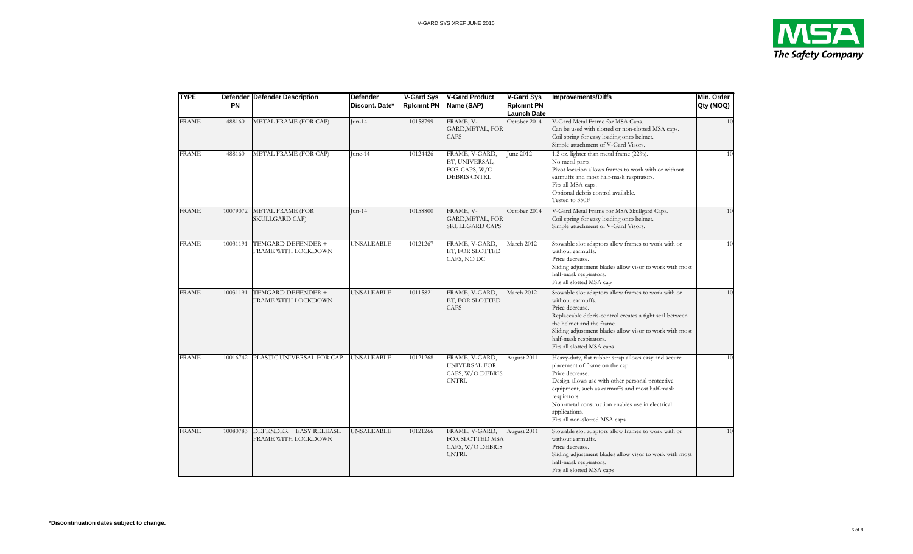

| <b>TYPE</b>  | <b>PN</b> | Defender Defender Description                  | <b>Defender</b><br>Discont. Date* | <b>V-Gard Sys</b><br><b>Rplcmnt PN</b> | V-Gard Product<br>Name (SAP)                                             | <b>V-Gard Sys</b><br><b>Rpicmnt PN</b><br><b>Launch Date</b> | <b>Improvements/Diffs</b>                                                                                                                                                                                                                                                                                                             | Min. Order<br>Qty (MOQ) |
|--------------|-----------|------------------------------------------------|-----------------------------------|----------------------------------------|--------------------------------------------------------------------------|--------------------------------------------------------------|---------------------------------------------------------------------------------------------------------------------------------------------------------------------------------------------------------------------------------------------------------------------------------------------------------------------------------------|-------------------------|
| <b>FRAME</b> | 488160    | METAL FRAME (FOR CAP)                          | Jun-14                            | 10158799                               | FRAME, V-<br><b>GARD, METAL, FOR</b><br><b>CAPS</b>                      | October 2014                                                 | V-Gard Metal Frame for MSA Caps.<br>Can be used with slotted or non-slotted MSA caps.<br>Coil spring for easy loading onto helmet.<br>Simple attachment of V-Gard Visors.                                                                                                                                                             | 10                      |
| <b>FRAME</b> | 488160    | METAL FRAME (FOR CAP)                          | June-14                           | 10124426                               | FRAME, V-GARD,<br>ET, UNIVERSAL,<br>FOR CAPS, W/O<br><b>DEBRIS CNTRL</b> | June 2012                                                    | 1.2 oz. lighter than metal frame (22%).<br>No metal parts.<br>Pivot location allows frames to work with or without<br>earmuffs and most half-mask respirators.<br>Fits all MSA caps.<br>Optional debris control available.<br>Tested to 350F                                                                                          | 10                      |
| <b>FRAME</b> | 10079072  | <b>METAL FRAME (FOR</b><br>SKULLGARD CAP)      | $Jun-14$                          | 10158800                               | FRAME, V-<br><b>GARD, METAL, FOR</b><br><b>SKULLGARD CAPS</b>            | October 2014                                                 | V-Gard Metal Frame for MSA Skullgard Caps.<br>Coil spring for easy loading onto helmet.<br>Simple attachment of V-Gard Visors.                                                                                                                                                                                                        | 10                      |
| <b>FRAME</b> | 10031191  | TEMGARD DEFENDER +<br>FRAME WITH LOCKDOWN      | <b>UNSALEABLE</b>                 | 10121267                               | FRAME, V-GARD,<br>ET, FOR SLOTTED<br>CAPS, NO DC                         | March 2012                                                   | Stowable slot adaptors allow frames to work with or<br>without earmuffs.<br>Price decrease.<br>Sliding adjustment blades allow visor to work with most<br>half-mask respirators.<br>Fits all slotted MSA cap                                                                                                                          | 10                      |
| <b>FRAME</b> | 10031191  | TEMGARD DEFENDER +<br>FRAME WITH LOCKDOWN      | UNSALEABLE                        | 10115821                               | FRAME, V-GARD,<br>ET, FOR SLOTTED<br><b>CAPS</b>                         | March 2012                                                   | Stowable slot adaptors allow frames to work with or<br>without earmuffs.<br>Price decrease.<br>Replaceable debris-control creates a tight seal between<br>the helmet and the frame.<br>Sliding adjustment blades allow visor to work with most<br>half-mask respirators.<br>Fits all slotted MSA caps                                 | 10                      |
| <b>FRAME</b> | 10016742  | PLASTIC UNIVERSAL FOR CAP                      | <b>UNSALEABLE</b>                 | 10121268                               | FRAME, V-GARD,<br>UNIVERSAL FOR<br>CAPS, W/O DEBRIS<br><b>CNTRL</b>      | August 2011                                                  | Heavy-duty, flat rubber strap allows easy and secure<br>placement of frame on the cap.<br>Price decrease.<br>Design allows use with other personal protective<br>equipment, such as earmuffs and most half-mask<br>respirators.<br>Non-metal construction enables use in electrical<br>applications.<br>Fits all non-slotted MSA caps | 10                      |
| <b>FRAME</b> | 10080783  | DEFENDER + EASY RELEASE<br>FRAME WITH LOCKDOWN | <b>UNSALEABLE</b>                 | 10121266                               | FRAME, V-GARD,<br>FOR SLOTTED MSA<br>CAPS, W/O DEBRIS<br><b>CNTRL</b>    | August 2011                                                  | Stowable slot adaptors allow frames to work with or<br>without earmuffs.<br>Price decrease.<br>Sliding adjustment blades allow visor to work with most<br>half-mask respirators.<br>Fits all slotted MSA caps                                                                                                                         | 10                      |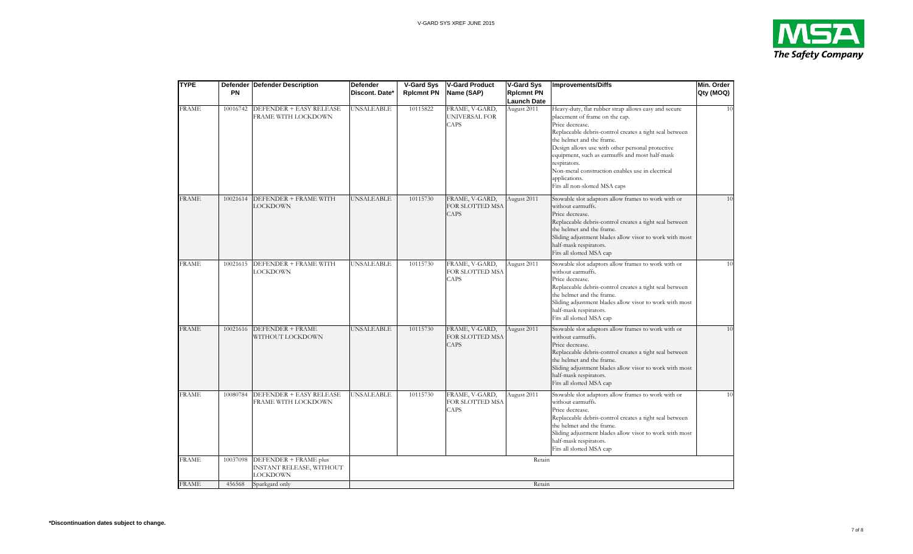

| <b>TYPE</b>  | <b>PN</b> | Defender   Defender Description                               | <b>Defender</b><br>Discont. Date* | <b>V-Gard Sys</b><br><b>Rpicmnt PN</b> | <b>V-Gard Product</b><br>Name (SAP)              | <b>V-Gard Sys</b><br><b>Rplcmnt PN</b><br>Launch Date | <b>Improvements/Diffs</b>                                                                                                                                                                                                                                                                                                                                                                                                     | Min. Order<br>Qty (MOQ) |
|--------------|-----------|---------------------------------------------------------------|-----------------------------------|----------------------------------------|--------------------------------------------------|-------------------------------------------------------|-------------------------------------------------------------------------------------------------------------------------------------------------------------------------------------------------------------------------------------------------------------------------------------------------------------------------------------------------------------------------------------------------------------------------------|-------------------------|
| <b>FRAME</b> | 10016742  | DEFENDER + EASY RELEASE<br>FRAME WITH LOCKDOWN                | <b>UNSALEABLE</b>                 | 10115822                               | FRAME, V-GARD,<br>UNIVERSAL FOR<br>CAPS          | August 2011                                           | Heavy-duty, flat rubber strap allows easy and secure<br>placement of frame on the cap.<br>Price decrease.<br>Replaceable debris-control creates a tight seal between<br>the helmet and the frame.<br>Design allows use with other personal protective<br>equipment, such as earmuffs and most half-mask<br>respirators.<br>Non-metal construction enables use in electrical<br>applications.<br>Fits all non-slotted MSA caps | 10                      |
| <b>FRAME</b> | 10021614  | DEFENDER + FRAME WITH<br><b>LOCKDOWN</b>                      | <b>UNSALEABLE</b>                 | 10115730                               | FRAME, V-GARD,<br>FOR SLOTTED MSA<br>CAPS        | August 2011                                           | Stowable slot adaptors allow frames to work with or<br>without earmuffs.<br>Price decrease.<br>Replaceable debris-control creates a tight seal between<br>the helmet and the frame.<br>Sliding adjustment blades allow visor to work with most<br>half-mask respirators.<br>Fits all slotted MSA cap                                                                                                                          | 10                      |
| <b>FRAME</b> | 10021615  | DEFENDER + FRAME WITH<br>LOCKDOWN                             | UNSALEABLE                        | 10115730                               | FRAME, V-GARD,<br>FOR SLOTTED MSA<br><b>CAPS</b> | August 2011                                           | Stowable slot adaptors allow frames to work with or<br>without earmuffs.<br>Price decrease.<br>Replaceable debris-control creates a tight seal between<br>the helmet and the frame.<br>Sliding adjustment blades allow visor to work with most<br>half-mask respirators.<br>Fits all slotted MSA cap                                                                                                                          | 10                      |
| <b>FRAME</b> | 10021616  | DEFENDER + FRAME<br>WITHOUT LOCKDOWN                          | <b>UNSALEABLE</b>                 | 10115730                               | FRAME, V-GARD,<br>FOR SLOTTED MSA<br><b>CAPS</b> | August 2011                                           | Stowable slot adaptors allow frames to work with or<br>without earmuffs.<br>Price decrease.<br>Replaceable debris-control creates a tight seal between<br>the helmet and the frame.<br>Sliding adjustment blades allow visor to work with most<br>half-mask respirators.<br>Fits all slotted MSA cap                                                                                                                          | 10                      |
| <b>FRAME</b> | 10080784  | DEFENDER + EASY RELEASE<br>FRAME WITH LOCKDOWN                | <b>UNSALEABLE</b>                 | 10115730                               | FRAME, V-GARD,<br>FOR SLOTTED MSA<br><b>CAPS</b> | August 2011                                           | Stowable slot adaptors allow frames to work with or<br>without earmuffs.<br>Price decrease.<br>Replaceable debris-control creates a tight seal between<br>the helmet and the frame.<br>Sliding adjustment blades allow visor to work with most<br>half-mask respirators.<br>Fits all slotted MSA cap                                                                                                                          | 10                      |
| <b>FRAME</b> | 10037098  | DEFENDER + FRAME plus<br>INSTANT RELEASE, WITHOUT<br>LOCKDOWN |                                   |                                        |                                                  | Retain                                                |                                                                                                                                                                                                                                                                                                                                                                                                                               |                         |
| <b>FRAME</b> | 456568    | Sparkgard only                                                |                                   |                                        |                                                  | Retain                                                |                                                                                                                                                                                                                                                                                                                                                                                                                               |                         |